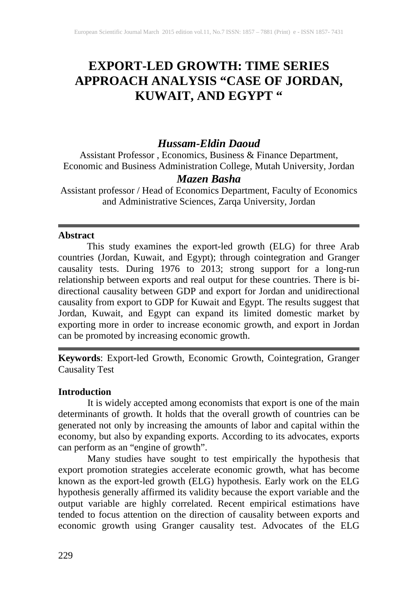# **EXPORT-LED GROWTH: TIME SERIES APPROACH ANALYSIS "CASE OF JORDAN, KUWAIT, AND EGYPT "**

# *Hussam-Eldin Daoud*

Assistant Professor , Economics, Business & Finance Department, Economic and Business Administration College, Mutah University, Jordan

## *Mazen Basha*

Assistant professor / Head of Economics Department, Faculty of Economics and Administrative Sciences, Zarqa University, Jordan

#### **Abstract**

This study examines the export-led growth (ELG) for three Arab countries (Jordan, Kuwait, and Egypt); through cointegration and Granger causality tests. During 1976 to 2013; strong support for a long-run relationship between exports and real output for these countries. There is bidirectional causality between GDP and export for Jordan and unidirectional causality from export to GDP for Kuwait and Egypt. The results suggest that Jordan, Kuwait, and Egypt can expand its limited domestic market by exporting more in order to increase economic growth, and export in Jordan can be promoted by increasing economic growth.

**Keywords**: Export-led Growth, Economic Growth, Cointegration, Granger Causality Test

#### **Introduction**

It is widely accepted among economists that export is one of the main determinants of growth. It holds that the overall growth of countries can be generated not only by increasing the amounts of labor and capital within the economy, but also by expanding exports. According to its advocates, exports can perform as an "engine of growth".

Many studies have sought to test empirically the hypothesis that export promotion strategies accelerate economic growth, what has become known as the export-led growth (ELG) hypothesis. Early work on the ELG hypothesis generally affirmed its validity because the export variable and the output variable are highly correlated. Recent empirical estimations have tended to focus attention on the direction of causality between exports and economic growth using Granger causality test. Advocates of the ELG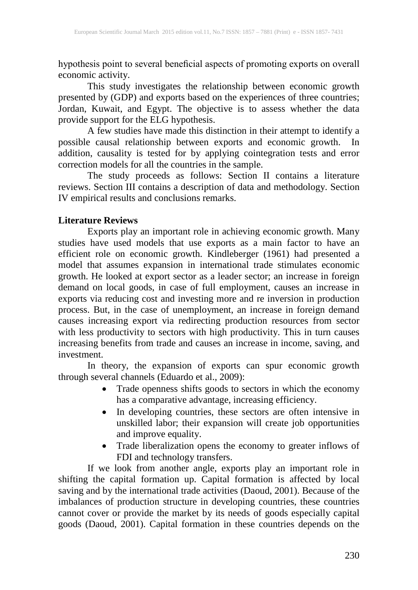hypothesis point to several beneficial aspects of promoting exports on overall economic activity.

This study investigates the relationship between economic growth presented by (GDP) and exports based on the experiences of three countries; Jordan, Kuwait, and Egypt. The objective is to assess whether the data provide support for the ELG hypothesis.

A few studies have made this distinction in their attempt to identify a possible causal relationship between exports and economic growth. In addition, causality is tested for by applying cointegration tests and error correction models for all the countries in the sample.

The study proceeds as follows: Section II contains a literature reviews. Section III contains a description of data and methodology. Section IV empirical results and conclusions remarks.

#### **Literature Reviews**

Exports play an important role in achieving economic growth. Many studies have used models that use exports as a main factor to have an efficient role on economic growth. Kindleberger (1961) had presented a model that assumes expansion in international trade stimulates economic growth. He looked at export sector as a leader sector; an increase in foreign demand on local goods, in case of full employment, causes an increase in exports via reducing cost and investing more and re inversion in production process. But, in the case of unemployment, an increase in foreign demand causes increasing export via redirecting production resources from sector with less productivity to sectors with high productivity. This in turn causes increasing benefits from trade and causes an increase in income, saving, and investment.

In theory, the expansion of exports can spur economic growth through several channels (Eduardo et al., 2009):

- Trade openness shifts goods to sectors in which the economy has a comparative advantage, increasing efficiency.
- In developing countries, these sectors are often intensive in unskilled labor; their expansion will create job opportunities and improve equality.
- Trade liberalization opens the economy to greater inflows of FDI and technology transfers.

If we look from another angle, exports play an important role in shifting the capital formation up. Capital formation is affected by local saving and by the international trade activities (Daoud, 2001). Because of the imbalances of production structure in developing countries, these countries cannot cover or provide the market by its needs of goods especially capital goods (Daoud, 2001). Capital formation in these countries depends on the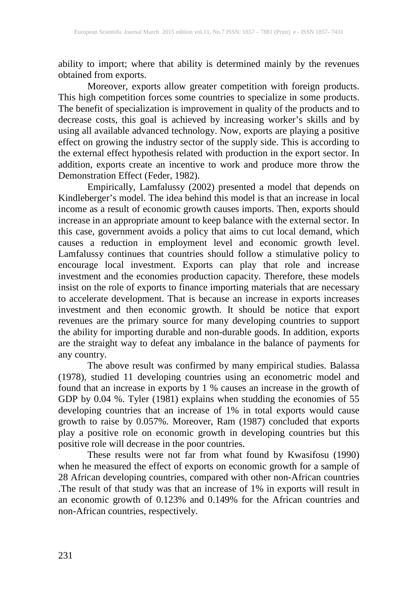ability to import; where that ability is determined mainly by the revenues obtained from exports.

Moreover, exports allow greater competition with foreign products. This high competition forces some countries to specialize in some products. The benefit of specialization is improvement in quality of the products and to decrease costs, this goal is achieved by increasing worker's skills and by using all available advanced technology. Now, exports are playing a positive effect on growing the industry sector of the supply side. This is according to the external effect hypothesis related with production in the export sector. In addition, exports create an incentive to work and produce more throw the Demonstration Effect (Feder, 1982).

Empirically, Lamfalussy (2002) presented a model that depends on Kindleberger's model. The idea behind this model is that an increase in local income as a result of economic growth causes imports. Then, exports should increase in an appropriate amount to keep balance with the external sector. In this case, government avoids a policy that aims to cut local demand, which causes a reduction in employment level and economic growth level. Lamfalussy continues that countries should follow a stimulative policy to encourage local investment. Exports can play that role and increase investment and the economies production capacity. Therefore, these models insist on the role of exports to finance importing materials that are necessary to accelerate development. That is because an increase in exports increases investment and then economic growth. It should be notice that export revenues are the primary source for many developing countries to support the ability for importing durable and non-durable goods. In addition, exports are the straight way to defeat any imbalance in the balance of payments for any country.

The above result was confirmed by many empirical studies. Balassa (1978), studied 11 developing countries using an econometric model and found that an increase in exports by 1 % causes an increase in the growth of GDP by 0.04 %. Tyler (1981) explains when studding the economies of 55 developing countries that an increase of 1% in total exports would cause growth to raise by 0.057%. Moreover, Ram (1987) concluded that exports play a positive role on economic growth in developing countries but this positive role will decrease in the poor countries.

These results were not far from what found by Kwasifosu (1990) when he measured the effect of exports on economic growth for a sample of 28 African developing countries, compared with other non-African countries .The result of that study was that an increase of 1% in exports will result in an economic growth of 0.123% and 0.149% for the African countries and non-African countries, respectively.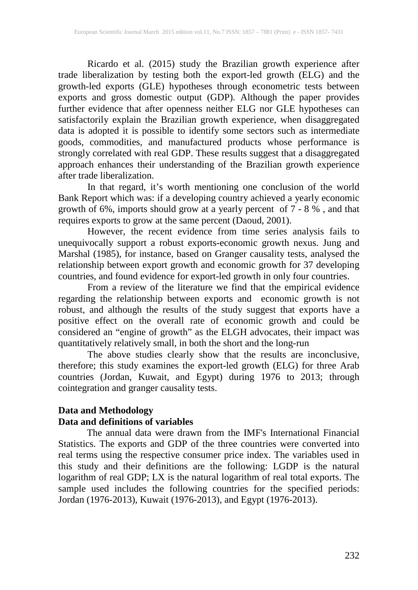Ricardo et al. (2015) study the Brazilian growth experience after trade liberalization by testing both the export-led growth (ELG) and the growth-led exports (GLE) hypotheses through econometric tests between exports and gross domestic output (GDP). Although the paper provides further evidence that after openness neither ELG nor GLE hypotheses can satisfactorily explain the Brazilian growth experience, when disaggregated data is adopted it is possible to identify some sectors such as intermediate goods, commodities, and manufactured products whose performance is strongly correlated with real GDP. These results suggest that a disaggregated approach enhances their understanding of the Brazilian growth experience after trade liberalization.

In that regard, it's worth mentioning one conclusion of the world Bank Report which was: if a developing country achieved a yearly economic growth of 6%, imports should grow at a yearly percent of 7 - 8 % , and that requires exports to grow at the same percent (Daoud, 2001).

However, the recent evidence from time series analysis fails to unequivocally support a robust exports-economic growth nexus. Jung and Marshal (1985), for instance, based on Granger causality tests, analysed the relationship between export growth and economic growth for 37 developing countries, and found evidence for export-led growth in only four countries.

From a review of the literature we find that the empirical evidence regarding the relationship between exports and economic growth is not robust, and although the results of the study suggest that exports have a positive effect on the overall rate of economic growth and could be considered an "engine of growth" as the ELGH advocates, their impact was quantitatively relatively small, in both the short and the long-run

The above studies clearly show that the results are inconclusive, therefore; this study examines the export-led growth (ELG) for three Arab countries (Jordan, Kuwait, and Egypt) during 1976 to 2013; through cointegration and granger causality tests.

## **Data and Methodology Data and definitions of variables**

The annual data were drawn from the IMF's International Financial Statistics. The exports and GDP of the three countries were converted into real terms using the respective consumer price index. The variables used in this study and their definitions are the following: LGDP is the natural logarithm of real GDP; LX is the natural logarithm of real total exports. The sample used includes the following countries for the specified periods: Jordan (1976-2013), Kuwait (1976-2013), and Egypt (1976-2013).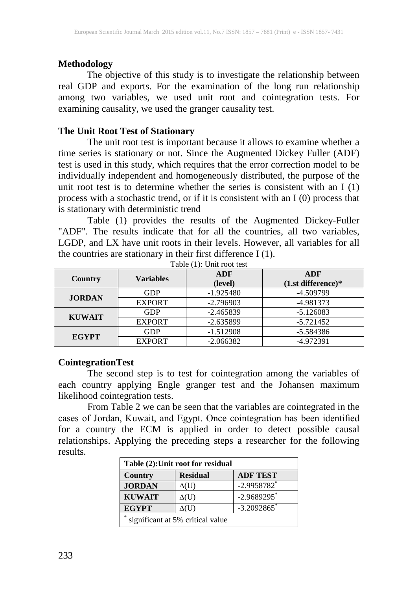#### **Methodology**

The objective of this study is to investigate the relationship between real GDP and exports. For the examination of the long run relationship among two variables, we used unit root and cointegration tests. For examining causality, we used the granger causality test.

#### **The Unit Root Test of Stationary**

The unit root test is important because it allows to examine whether a time series is stationary or not. Since the Augmented Dickey Fuller (ADF) test is used in this study, which requires that the error correction model to be individually independent and homogeneously distributed, the purpose of the unit root test is to determine whether the series is consistent with an I (1) process with a stochastic trend, or if it is consistent with an I (0) process that is stationary with deterministic trend

Table (1) provides the results of the Augmented Dickey-Fuller "ADF". The results indicate that for all the countries, all two variables, LGDP, and LX have unit roots in their levels. However, all variables for all the countries are stationary in their first difference I (1).

|               | <b>Variables</b> | ADF         | ADF                  |  |
|---------------|------------------|-------------|----------------------|--|
| Country       |                  | (level)     | $(1.st$ difference)* |  |
| <b>JORDAN</b> | <b>GDP</b>       | $-1.925480$ | -4.509799            |  |
|               | <b>EXPORT</b>    | $-2.796903$ | $-4.981373$          |  |
| <b>KUWAIT</b> | <b>GDP</b>       | $-2.465839$ | $-5.126083$          |  |
|               | <b>EXPORT</b>    | $-2.635899$ | $-5.721452$          |  |
| <b>EGYPT</b>  | GDP              | $-1.512908$ | $-5.584386$          |  |
|               | <b>EXPORT</b>    | $-2.066382$ | -4.972391            |  |

Table (1): Unit root test

## **CointegrationTest**

The second step is to test for cointegration among the variables of each country applying Engle granger test and the Johansen maximum likelihood cointegration tests.

From Table 2 we can be seen that the variables are cointegrated in the cases of Jordan, Kuwait, and Egypt. Once cointegration has been identified for a country the ECM is applied in order to detect possible causal relationships. Applying the preceding steps a researcher for the following results.

| Table (2): Unit root for residual          |                 |                           |  |  |
|--------------------------------------------|-----------------|---------------------------|--|--|
| <b>Country</b>                             | <b>Residual</b> | <b>ADF TEST</b>           |  |  |
| <b>JORDAN</b>                              | $\Delta(U)$     | $-2.9958782$              |  |  |
| <b>KUWAIT</b>                              | $\Delta(U)$     | $-2.9689295$ <sup>*</sup> |  |  |
| <b>EGYPT</b>                               | AU)             | $-3.2092865$              |  |  |
| $\ast$<br>significant at 5% critical value |                 |                           |  |  |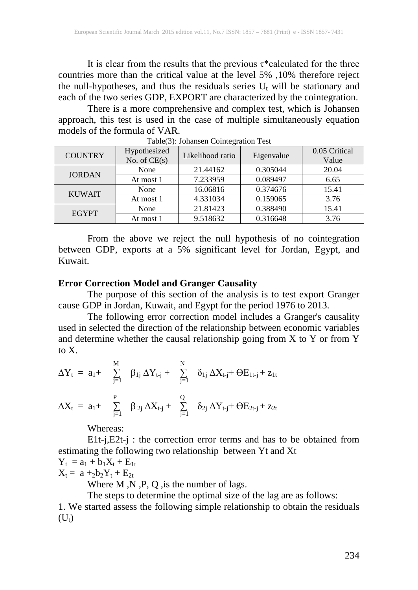It is clear from the results that the previous  $\tau^*$  calculated for the three countries more than the critical value at the level 5% ,10% therefore reject the null-hypotheses, and thus the residuals series  $U_t$  will be stationary and each of the two series GDP, EXPORT are characterized by the cointegration.

There is a more comprehensive and complex test, which is Johansen approach, this test is used in the case of multiple simultaneously equation models of the formula of VAR.

| <b>COUNTRY</b> | Hypothesized<br>No. of $CE(s)$ | Likelihood ratio | Eigenvalue | 0.05 Critical<br>Value |
|----------------|--------------------------------|------------------|------------|------------------------|
| <b>JORDAN</b>  | None                           | 21.44162         | 0.305044   | 20.04                  |
|                | At most 1                      | 7.233959         | 0.089497   | 6.65                   |
| <b>KUWAIT</b>  | None                           | 16.06816         | 0.374676   | 15.41                  |
|                | At most 1                      | 4.331034         | 0.159065   | 3.76                   |
| <b>EGYPT</b>   | None                           | 21.81423         | 0.388490   | 15.41                  |
|                | At most 1                      | 9.518632         | 0.316648   | 3.76                   |

Table(3): Johansen Cointegration Test

From the above we reject the null hypothesis of no cointegration between GDP, exports at a 5% significant level for Jordan, Egypt, and Kuwait.

#### **Error Correction Model and Granger Causality**

The purpose of this section of the analysis is to test export Granger cause GDP in Jordan, Kuwait, and Egypt for the period 1976 to 2013.

The following error correction model includes a Granger's causality used in selected the direction of the relationship between economic variables and determine whether the causal relationship going from X to Y or from Y to X.

M N ∆Yt = a1+ ∑ β1j ∆Yt-j + ∑ δ1j ∆Xt-j+ ӨE1t-j + z1t j=1 j=1 P Q ∆Xt = a1+ ∑ β 2j ∆Xt-j + ∑ δ2j ∆Yt-j+ ӨE2t-j + z2t j=1 j=1

Whereas:

E1t-j,E2t-j : the correction error terms and has to be obtained from estimating the following two relationship between Yt and Xt

$$
Y_t = a_1 + b_1 X_t + E_{1t}
$$

 $X_t = a +_2b_2Y_t + E_{2t}$ 

Where M, N, P, Q, is the number of lags.

The steps to determine the optimal size of the lag are as follows:

1. We started assess the following simple relationship to obtain the residuals  $(U_t)$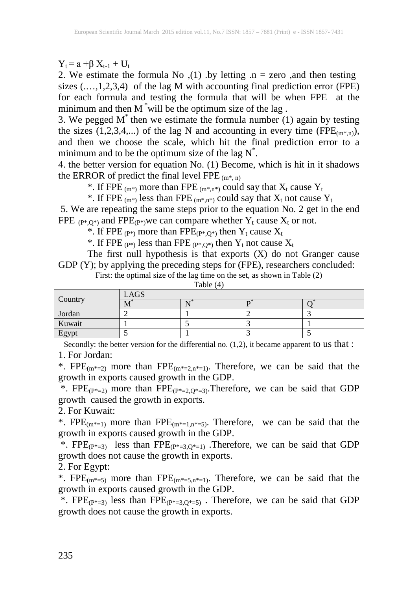$Y_t = a + \beta X_{t-1} + U_t$ 

2. We estimate the formula No  $(1)$  by letting  $n =$  zero , and then testing sizes (...,1,2,3,4) of the lag M with accounting final prediction error (FPE) for each formula and testing the formula that will be when FPE at the minimum and then M<sup>\*</sup>will be the optimum size of the lag.

3. We pegged  $M^*$  then we estimate the formula number (1) again by testing the sizes  $(1,2,3,4,...)$  of the lag N and accounting in every time (FPE $_{(m^*,n)}$ ), and then we choose the scale, which hit the final prediction error to a minimum and to be the optimum size of the lag  $N^*$ .

4. the better version for equation No. (1) Become, which is hit in it shadows the ERROR of predict the final level FPE  $(m^*, n)$ 

\*. If FPE (m<sup>\*</sup>) more than FPE (m<sup>\*</sup>,n<sup>\*</sup>) could say that  $X_t$  cause  $Y_t$ 

\*. If FPE  $_{(m^*)}$  less than FPE  $_{(m^*,n^*)}$  could say that  $X_t$  not cause  $Y_t$ 

5. We are repeating the same steps prior to the equation No. 2 get in the end FPE  $_{(P^*,Q^*)}$  and FPE $_{(P^*)}$ we can compare whether  $Y_t$  cause  $X_t$  or not.

\*. If FPE  $(P^*)$  more than FPE $(P^*,Q^*)$  then  $Y_t$  cause  $X_t$ 

\*. If FPE  $_{(P^*)}$  less than FPE  $_{(P^*,Q^*)}$  then  $Y_t$  not cause  $X_t$ 

The first null hypothesis is that exports  $(X)$  do not Granger cause GDP (Y); by applying the preceding steps for (FPE), researchers concluded:

|                                     |      | . |  |  |
|-------------------------------------|------|---|--|--|
| Country                             | LAGS |   |  |  |
|                                     | 17 I |   |  |  |
| Jordan                              |      |   |  |  |
| Kuwait                              |      |   |  |  |
| $\Gamma_{\alpha \mathbf{m}}$<br>-51 |      |   |  |  |

First: the optimal size of the lag time on the set, as shown in Table (2)

Table (4)

Secondly: the better version for the differential no. (1,2), it became apparent to us that : 1. For Jordan:

\*.  $FPE_{(m^*=2)}$  more than  $FPE_{(m^*=2,n^*=1)}$ . Therefore, we can be said that the growth in exports caused growth in the GDP.

\*. FPE $_{(P^*=2)}$  more than FPE $_{(P^*=2,Q^*=3)}$ . Therefore, we can be said that GDP growth caused the growth in exports.

2. For Kuwait:

\*. FPE<sub>(m\*=1)</sub> more than FPE<sub>(m\*=1,n\*=5)</sub>. Therefore, we can be said that the growth in exports caused growth in the GDP.

\*.  $FPE_{(P^*=3)}$  less than  $FPE_{(P^*=3,Q^*=1)}$ . Therefore, we can be said that GDP growth does not cause the growth in exports.

2. For Egypt:

\*.  $FPE_{(m^*=5)}$  more than  $FPE_{(m^*=5,n^*=1)}$ . Therefore, we can be said that the growth in exports caused growth in the GDP.

\*. FPE $_{(P^*=3)}$  less than FPE $_{(P^*=3,Q^*=5)}$ . Therefore, we can be said that GDP growth does not cause the growth in exports.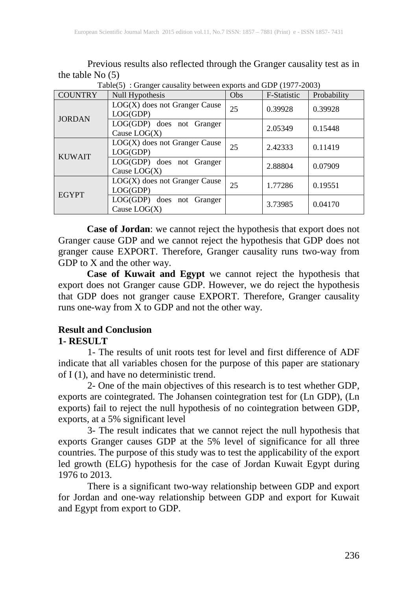Previous results also reflected through the Granger causality test as in the table  $\text{No}$  (5)  $\text{Table}(5)$ : Granger causality between exports and GDP (1977-2003)

| <b>COUNTRY</b> | Null Hypothesis                             | Obs | F-Statistic | Probability |
|----------------|---------------------------------------------|-----|-------------|-------------|
| <b>JORDAN</b>  | $LOG(X)$ does not Granger Cause<br>LOG(GDP) | 25  | 0.39928     | 0.39928     |
|                | LOG(GDP) does not Granger<br>Cause $LOG(X)$ |     | 2.05349     | 0.15448     |
| <b>KUWAIT</b>  | $LOG(X)$ does not Granger Cause<br>LOG(GDP) | 25  | 2.42333     | 0.11419     |
|                | LOG(GDP) does not Granger<br>Cause $LOG(X)$ |     | 2.88804     | 0.07909     |
| <b>EGYPT</b>   | $LOG(X)$ does not Granger Cause<br>LOG(GDP) | 25  | 1.77286     | 0.19551     |
|                | LOG(GDP) does not Granger<br>Cause $LOG(X)$ |     | 3.73985     | 0.04170     |

**Case of Jordan**: we cannot reject the hypothesis that export does not Granger cause GDP and we cannot reject the hypothesis that GDP does not granger cause EXPORT. Therefore, Granger causality runs two-way from  $GDP$  to  $X$  and the other way.

**Case of Kuwait and Egypt** we cannot reject the hypothesis that export does not Granger cause GDP. However, we do reject the hypothesis that GDP does not granger cause EXPORT. Therefore, Granger causality runs one-way from  $\overline{X}$  to GDP and not the other way.

#### **Result and Conclusion 1- RESULT**

1- The results of unit roots test for level and first difference of ADF indicate that all variables chosen for the purpose of this paper are stationary of I (1), and have no deterministic trend.

2- One of the main objectives of this research is to test whether GDP, exports are cointegrated. The Johansen cointegration test for (Ln GDP), (Ln exports) fail to reject the null hypothesis of no cointegration between GDP, exports, at a 5% significant level

3- The result indicates that we cannot reject the null hypothesis that exports Granger causes GDP at the 5% level of significance for all three countries. The purpose of this study was to test the applicability of the export led growth (ELG) hypothesis for the case of Jordan Kuwait Egypt during 1976 to 2013.

There is a significant two-way relationship between GDP and export for Jordan and one-way relationship between GDP and export for Kuwait and Egypt from export to GDP.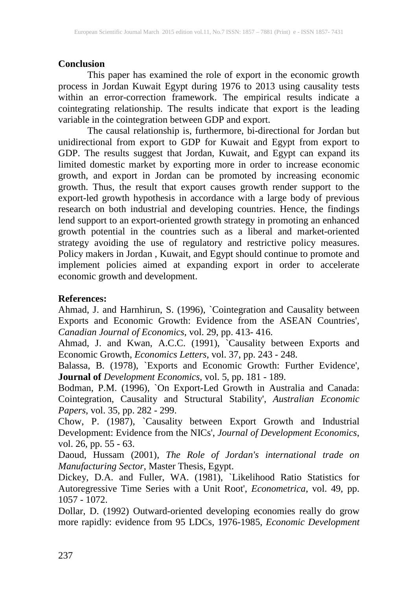## **Conclusion**

This paper has examined the role of export in the economic growth process in Jordan Kuwait Egypt during 1976 to 2013 using causality tests within an error-correction framework. The empirical results indicate a cointegrating relationship. The results indicate that export is the leading variable in the cointegration between GDP and export.

The causal relationship is, furthermore, bi-directional for Jordan but unidirectional from export to GDP for Kuwait and Egypt from export to GDP. The results suggest that Jordan, Kuwait, and Egypt can expand its limited domestic market by exporting more in order to increase economic growth, and export in Jordan can be promoted by increasing economic growth. Thus, the result that export causes growth render support to the export-led growth hypothesis in accordance with a large body of previous research on both industrial and developing countries. Hence, the findings lend support to an export-oriented growth strategy in promoting an enhanced growth potential in the countries such as a liberal and market-oriented strategy avoiding the use of regulatory and restrictive policy measures. Policy makers in Jordan , Kuwait, and Egypt should continue to promote and implement policies aimed at expanding export in order to accelerate economic growth and development.

## **References:**

Ahmad, J. and Harnhirun, S. (1996), `Cointegration and Causality between Exports and Economic Growth: Evidence from the ASEAN Countries', *Canadian Journal of Economics*, vol. 29, pp. 413- 416.

Ahmad, J. and Kwan, A.C.C. (1991), `Causality between Exports and Economic Growth, *Economics Letters*, vol. 37, pp. 243 - 248.

Balassa, B. (1978), `Exports and Economic Growth: Further Evidence', **Journal of** *Development Economics*, vol. 5, pp. 181 - 189.

Bodman, P.M. (1996), `On Export-Led Growth in Australia and Canada: Cointegration, Causality and Structural Stability', *Australian Economic Papers*, vol. 35, pp. 282 - 299.

Chow, P. (1987), `Causality between Export Growth and Industrial Development: Evidence from the NICs', *Journal of Development Economics*, vol. 26, pp. 55 - 63.

Daoud, Hussam (2001), *The Role of Jordan's international trade on Manufacturing Sector*, Master Thesis, Egypt.

Dickey, D.A. and Fuller, WA. (1981), `Likelihood Ratio Statistics for Autoregressive Time Series with a Unit Root', *Econometrica*, vol. 49, pp. 1057 - 1072.

Dollar, D. (1992) Outward-oriented developing economies really do grow more rapidly: evidence from 95 LDCs, 1976-1985, *Economic Development*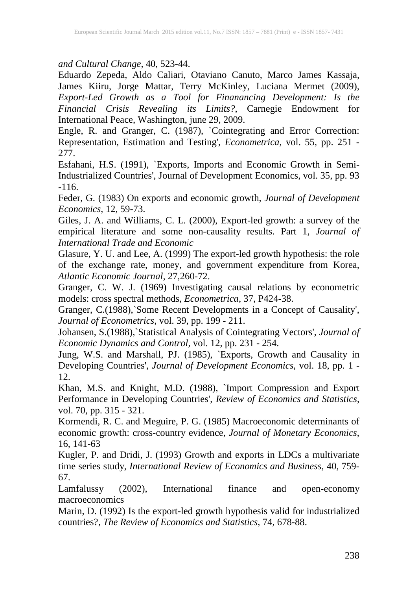*and Cultural Change*, 40, 523-44.

[Eduardo Zepeda,](http://carnegieendowment.org/experts/?fa=392) Aldo Caliari, Otaviano Canuto, Marco James Kassaja, James Kiiru, Jorge Mattar, Terry McKinley, Luciana Mermet (2009), *Export-Led Growth as a Tool for Finanancing Development: Is the Financial Crisis Revealing its Limits?*, Carnegie Endowment for International Peace, Washington, june 29, 2009.

Engle, R. and Granger, C. (1987), `Cointegrating and Error Correction: Representation, Estimation and Testing', *Econometrica*, vol. 55, pp. 251 - 277.

Esfahani, H.S. (1991), `Exports, Imports and Economic Growth in Semi-Industrialized Countries', Journal of Development Economics, vol. 35, pp. 93 -116.

Feder, G. (1983) On exports and economic growth, *Journal of Development Economics*, 12, 59-73.

Giles, J. A. and Williams, C. L. (2000), Export-led growth: a survey of the empirical literature and some non-causality results. Part 1, *Journal of International Trade and Economic*

Glasure, Y. U. and Lee, A. (1999) The export-led growth hypothesis: the role of the exchange rate, money, and government expenditure from Korea, *Atlantic Economic Journal*, 27,260-72.

Granger, C. W. J. (1969) Investigating causal relations by econometric models: cross spectral methods, *Econometrica*, 37, P424-38.

Granger, C.(1988),`Some Recent Developments in a Concept of Causality', *Journal of Econometrics*, vol. 39, pp. 199 - 211.

Johansen, S.(1988),`Statistical Analysis of Cointegrating Vectors', *Journal of Economic Dynamics and Control*, vol. 12, pp. 231 - 254.

Jung, W.S. and Marshall, PJ. (1985), `Exports, Growth and Causality in Developing Countries', *Journal of Development Economics*, vol. 18, pp. 1 - 12.

Khan, M.S. and Knight, M.D. (1988), `Import Compression and Export Performance in Developing Countries', *Review of Economics and Statistics*, vol. 70, pp. 315 - 321.

Kormendi, R. C. and Meguire, P. G. (1985) Macroeconomic determinants of economic growth: cross-country evidence, *Journal of Monetary Economics*, 16, 141-63

Kugler, P. and Dridi, J. (1993) Growth and exports in LDCs a multivariate time series study, *International Review of Economics and Business*, 40, 759- 67.

Lamfalussy (2002), International finance and open-economy macroeconomics

Marin, D. (1992) Is the export-led growth hypothesis valid for industrialized countries?, *The Review of Economics and Statistics*, 74, 678-88.